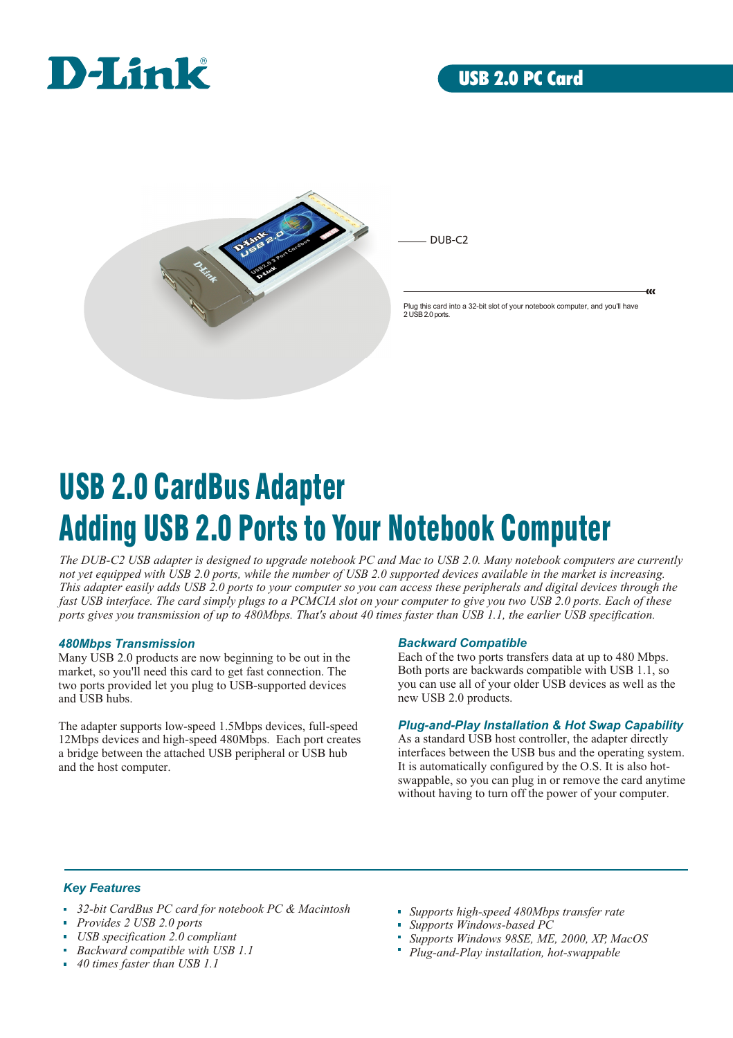



DUB-C2

Plug this card into a 32-bit slot of your notebook computer, and you'll have 2 USB 2.0 ports.

 $\alpha$ 

# USB 2.0 CardBus Adapter Adding USB 2.0 Ports to Your Notebook Computer

*The DUB-C2 USB adapter is designed to upgrade notebook PC and Mac to USB 2.0. Many notebook computers are currently not yet equipped with USB 2.0 ports, while the number of USB 2.0 supported devices available in the market is increasing. This adapter easily adds USB 2.0 ports to your computer so you can access these peripherals and digital devices through the*  fast USB interface. The card simply plugs to a PCMCIA slot on your computer to give you two USB 2.0 ports. Each of these *ports gives you transmission of up to 480Mbps. That's about 40 times faster than USB 1.1, the earlier USB specification.*

#### *480Mbps Transmission*

Many USB 2.0 products are now beginning to be out in the market, so you'll need this card to get fast connection. The two ports provided let you plug to USB-supported devices and USB hubs.

The adapter supports low-speed 1.5Mbps devices, full-speed 12Mbps devices and high-speed 480Mbps. Each port creates a bridge between the attached USB peripheral or USB hub and the host computer.

#### *Backward Compatible*

Each of the two ports transfers data at up to 480 Mbps. Both ports are backwards compatible with USB 1.1, so you can use all of your older USB devices as well as the new USB 2.0 products.

#### *Plug-and-Play Installation & Hot Swap Capability*

As a standard USB host controller, the adapter directly interfaces between the USB bus and the operating system. It is automatically configured by the O.S. It is also hotswappable, so you can plug in or remove the card anytime without having to turn off the power of your computer.

#### *Key Features*

- *32-bit CardBus PC card for notebook PC & Macintosh*
- *Provides 2 USB 2.0 ports*
- *USB specification 2.0 compliant*
- *Backward compatible with USB 1.1*
- *40 times faster than USB 1.1*
- *Supports high-speed 480Mbps transfer rate*
- *Supports Windows-based PC*
- *Supports Windows 98SE, ME, 2000, XP, MacOS*
- *Plug-and-Play installation, hot-swappable*